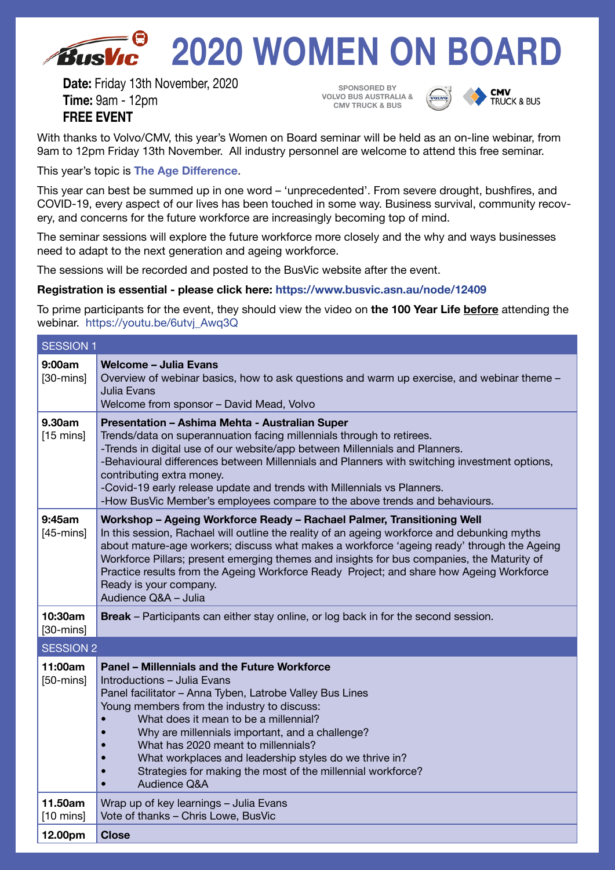# **2020 WOMEN ON BOARD** Rush

**Date:** Friday 13th November, 2020 **Time:** 9am - 12pm **FREE EVENT**

**SPONSORED BY VOLVO BUS AUSTRALIA & CMV TRUCK & BUS**



**CMV**<br>TRUCK & BUS

With thanks to Volvo/CMV, this year's Women on Board seminar will be held as an on-line webinar, from 9am to 12pm Friday 13th November. All industry personnel are welcome to attend this free seminar.

This year's topic is **The Age Difference**.

This year can best be summed up in one word – 'unprecedented'. From severe drought, bushfires, and COVID-19, every aspect of our lives has been touched in some way. Business survival, community recovery, and concerns for the future workforce are increasingly becoming top of mind.

The seminar sessions will explore the future workforce more closely and the why and ways businesses need to adapt to the next generation and ageing workforce.

The sessions will be recorded and posted to the BusVic website after the event.

#### **Registration is essential - please click here: https://www.busvic.asn.au/node/12409**

To prime participants for the event, they should view the video on **the 100 Year Life before** attending the webinar. https://youtu.be/6utvj\_Awq3Q

| <b>SESSION 1</b>               |                                                                                                                                                                                                                                                                                                                                                                                                                                                                                                                  |
|--------------------------------|------------------------------------------------------------------------------------------------------------------------------------------------------------------------------------------------------------------------------------------------------------------------------------------------------------------------------------------------------------------------------------------------------------------------------------------------------------------------------------------------------------------|
| 9:00am<br>$[30 - mins]$        | Welcome - Julia Evans<br>Overview of webinar basics, how to ask questions and warm up exercise, and webinar theme -<br>Julia Evans<br>Welcome from sponsor - David Mead, Volvo                                                                                                                                                                                                                                                                                                                                   |
| 9.30am<br>$[15 \text{ mins}]$  | Presentation - Ashima Mehta - Australian Super<br>Trends/data on superannuation facing millennials through to retirees.<br>-Trends in digital use of our website/app between Millennials and Planners.<br>-Behavioural differences between Millennials and Planners with switching investment options,<br>contributing extra money.<br>-Covid-19 early release update and trends with Millennials vs Planners.<br>-How BusVic Member's employees compare to the above trends and behaviours.                     |
| 9:45am<br>$[45 - mins]$        | Workshop - Ageing Workforce Ready - Rachael Palmer, Transitioning Well<br>In this session, Rachael will outline the reality of an ageing workforce and debunking myths<br>about mature-age workers; discuss what makes a workforce 'ageing ready' through the Ageing<br>Workforce Pillars; present emerging themes and insights for bus companies, the Maturity of<br>Practice results from the Ageing Workforce Ready Project; and share how Ageing Workforce<br>Ready is your company.<br>Audience Q&A - Julia |
| 10:30am<br>$[30 - mins]$       | <b>Break</b> – Participants can either stay online, or log back in for the second session.                                                                                                                                                                                                                                                                                                                                                                                                                       |
| <b>SESSION 2</b>               |                                                                                                                                                                                                                                                                                                                                                                                                                                                                                                                  |
| 11:00am<br>$[50 - mins]$       | <b>Panel - Millennials and the Future Workforce</b><br>Introductions - Julia Evans<br>Panel facilitator - Anna Tyben, Latrobe Valley Bus Lines<br>Young members from the industry to discuss:<br>What does it mean to be a millennial?<br>Why are millennials important, and a challenge?<br>What has 2020 meant to millennials?<br>What workplaces and leadership styles do we thrive in?<br>Strategies for making the most of the millennial workforce?<br>Audience Q&A                                        |
| 11.50am<br>$[10 \text{ mins}]$ | Wrap up of key learnings - Julia Evans<br>Vote of thanks - Chris Lowe, BusVic                                                                                                                                                                                                                                                                                                                                                                                                                                    |
| 12.00pm                        | <b>Close</b>                                                                                                                                                                                                                                                                                                                                                                                                                                                                                                     |